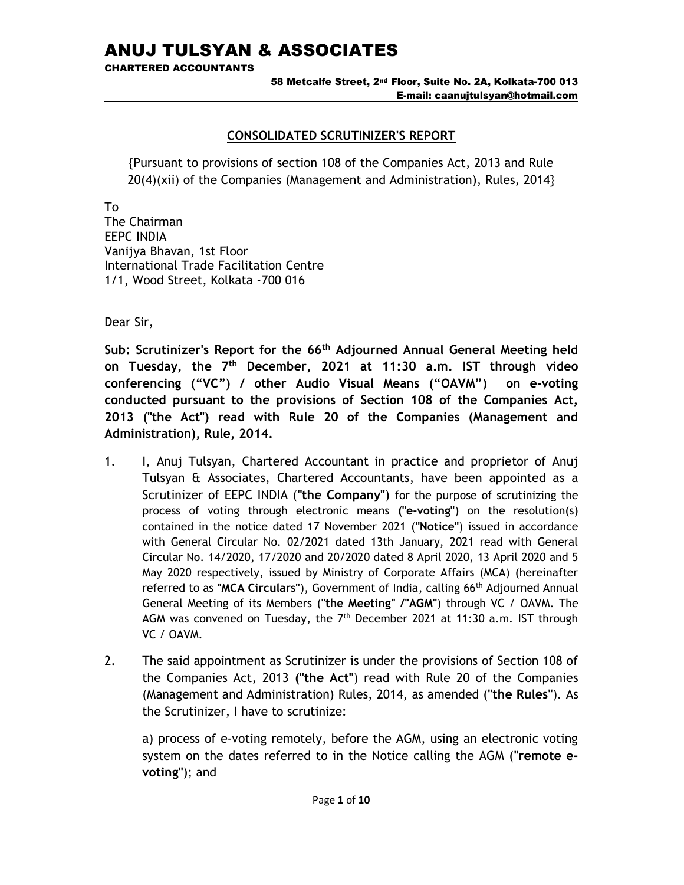CHARTERED ACCOUNTANTS

58 Metcalfe Street, 2nd Floor, Suite No. 2A, Kolkata-700 013 E-mail: caanujtulsyan@hotmail.com

# CONSOLIDATED SCRUTINIZER'S REPORT

{Pursuant to provisions of section 108 of the Companies Act, 2013 and Rule 20(4)(xii) of the Companies (Management and Administration), Rules, 2014}

To

The Chairman EEPC INDIA Vanijya Bhavan, 1st Floor International Trade Facilitation Centre 1/1, Wood Street, Kolkata -700 016

Dear Sir,

Sub: Scrutinizer's Report for the 66<sup>th</sup> Adjourned Annual General Meeting held on Tuesday, the  $7<sup>th</sup>$  December, 2021 at 11:30 a.m. IST through video conferencing ("VC") / other Audio Visual Means ("OAVM") on e-voting conducted pursuant to the provisions of Section 108 of the Companies Act, 2013 ("the Act") read with Rule 20 of the Companies (Management and Administration), Rule, 2014.

- 1. I, Anuj Tulsyan, Chartered Accountant in practice and proprietor of Anuj Tulsyan & Associates, Chartered Accountants, have been appointed as a Scrutinizer of EEPC INDIA ("the Company") for the purpose of scrutinizing the process of voting through electronic means ("e-voting") on the resolution(s) contained in the notice dated 17 November 2021 ("Notice") issued in accordance with General Circular No. 02/2021 dated 13th January, 2021 read with General Circular No. 14/2020, 17/2020 and 20/2020 dated 8 April 2020, 13 April 2020 and 5 May 2020 respectively, issued by Ministry of Corporate Affairs (MCA) (hereinafter referred to as "MCA Circulars"), Government of India, calling 66th Adjourned Annual General Meeting of its Members ("the Meeting" /"AGM") through VC / OAVM. The AGM was convened on Tuesday, the  $7<sup>th</sup>$  December 2021 at 11:30 a.m. IST through VC / OAVM.
- 2. The said appointment as Scrutinizer is under the provisions of Section 108 of the Companies Act, 2013 ("the Act") read with Rule 20 of the Companies (Management and Administration) Rules, 2014, as amended ("the Rules"). As the Scrutinizer, I have to scrutinize:

a) process of e-voting remotely, before the AGM, using an electronic voting system on the dates referred to in the Notice calling the AGM ("remote evoting"); and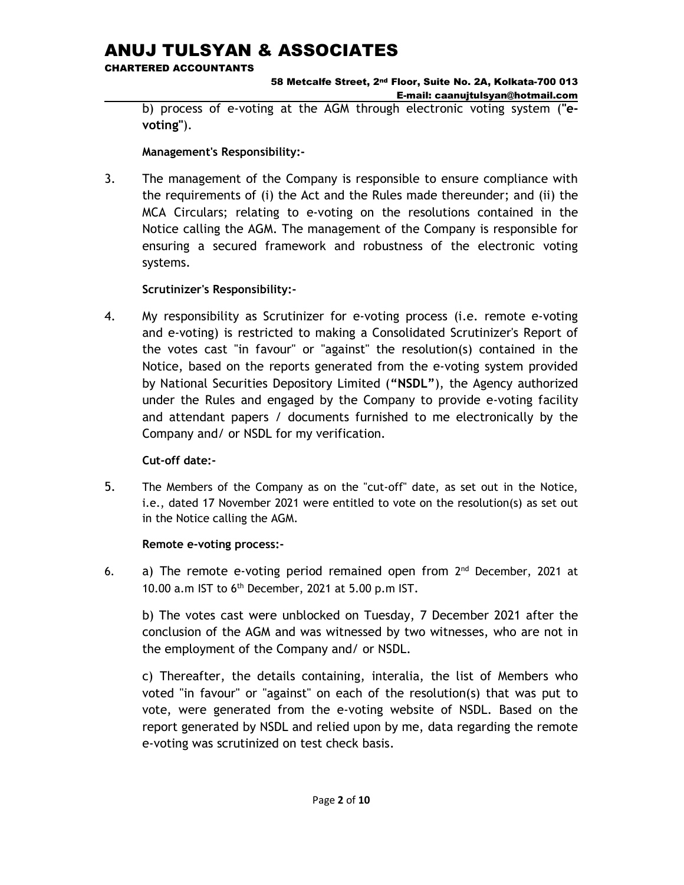CHARTERED ACCOUNTANTS

58 Metcalfe Street, 2nd Floor, Suite No. 2A, Kolkata-700 013 E-mail: caanujtulsyan@hotmail.com

b) process of e-voting at the AGM through electronic voting system ("evoting").

# Management's Responsibility:-

3. The management of the Company is responsible to ensure compliance with the requirements of (i) the Act and the Rules made thereunder; and (ii) the MCA Circulars; relating to e-voting on the resolutions contained in the Notice calling the AGM. The management of the Company is responsible for ensuring a secured framework and robustness of the electronic voting systems.

# Scrutinizer's Responsibility:-

4. My responsibility as Scrutinizer for e-voting process (i.e. remote e-voting and e-voting) is restricted to making a Consolidated Scrutinizer's Report of the votes cast "in favour" or "against" the resolution(s) contained in the Notice, based on the reports generated from the e-voting system provided by National Securities Depository Limited ("NSDL"), the Agency authorized under the Rules and engaged by the Company to provide e-voting facility and attendant papers / documents furnished to me electronically by the Company and/ or NSDL for my verification.

# Cut-off date:-

5. The Members of the Company as on the "cut-off" date, as set out in the Notice, i.e., dated 17 November 2021 were entitled to vote on the resolution(s) as set out in the Notice calling the AGM.

# Remote e-voting process:-

6. a) The remote e-voting period remained open from 2<sup>nd</sup> December, 2021 at 10.00 a.m IST to 6th December, 2021 at 5.00 p.m IST.

b) The votes cast were unblocked on Tuesday, 7 December 2021 after the conclusion of the AGM and was witnessed by two witnesses, who are not in the employment of the Company and/ or NSDL.

c) Thereafter, the details containing, interalia, the list of Members who voted "in favour" or "against" on each of the resolution(s) that was put to vote, were generated from the e-voting website of NSDL. Based on the report generated by NSDL and relied upon by me, data regarding the remote e-voting was scrutinized on test check basis.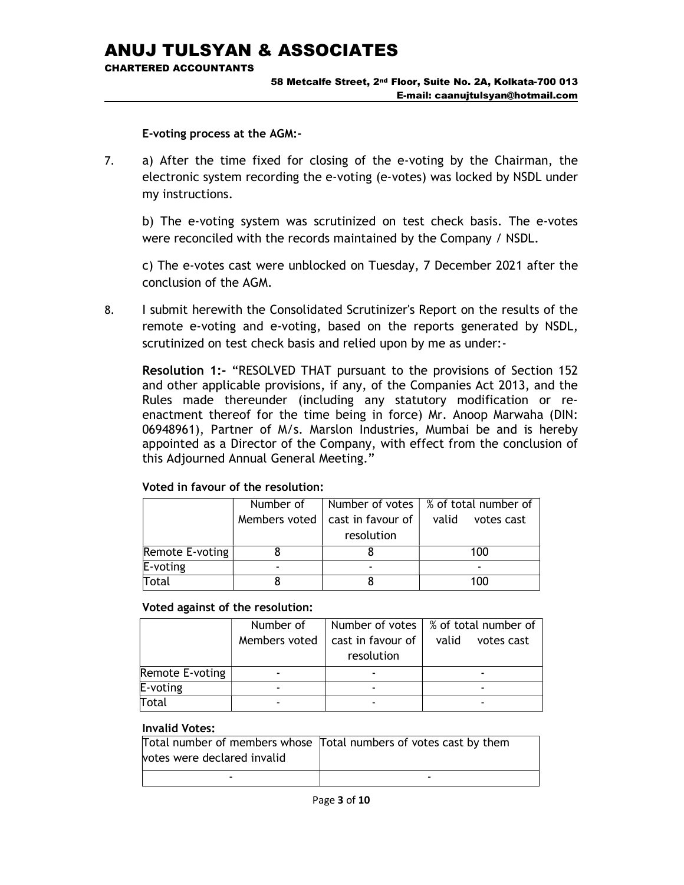CHARTERED ACCOUNTANTS

#### 58 Metcalfe Street, 2nd Floor, Suite No. 2A, Kolkata-700 013 E-mail: caanujtulsyan@hotmail.com

E-voting process at the AGM:-

7. a) After the time fixed for closing of the e-voting by the Chairman, the electronic system recording the e-voting (e-votes) was locked by NSDL under my instructions.

b) The e-voting system was scrutinized on test check basis. The e-votes were reconciled with the records maintained by the Company / NSDL.

 c) The e-votes cast were unblocked on Tuesday, 7 December 2021 after the conclusion of the AGM.

8. I submit herewith the Consolidated Scrutinizer's Report on the results of the remote e-voting and e-voting, based on the reports generated by NSDL, scrutinized on test check basis and relied upon by me as under:-

Resolution 1:- "RESOLVED THAT pursuant to the provisions of Section 152 and other applicable provisions, if any, of the Companies Act 2013, and the Rules made thereunder (including any statutory modification or reenactment thereof for the time being in force) Mr. Anoop Marwaha (DIN: 06948961), Partner of M/s. Marslon Industries, Mumbai be and is hereby appointed as a Director of the Company, with effect from the conclusion of this Adjourned Annual General Meeting."

|                 | Number of     |                   | Number of votes   % of total number of |
|-----------------|---------------|-------------------|----------------------------------------|
|                 | Members voted | cast in favour of | valid<br>votes cast                    |
|                 |               | resolution        |                                        |
| Remote E-voting |               |                   | 100                                    |
| E-voting        |               |                   |                                        |
| Total           |               |                   | 100                                    |

### Voted in favour of the resolution:

#### Voted against of the resolution:

|                 | Number of     |                   | Number of votes $\frac{1}{2}$ % of total number of |
|-----------------|---------------|-------------------|----------------------------------------------------|
|                 | Members voted | cast in favour of | valid<br>votes cast                                |
|                 |               | resolution        |                                                    |
| Remote E-voting |               |                   |                                                    |
| E-voting        |               |                   |                                                    |
| Total           |               |                   |                                                    |

|                             | Total number of members whose Total numbers of votes cast by them |
|-----------------------------|-------------------------------------------------------------------|
| votes were declared invalid |                                                                   |
| -                           |                                                                   |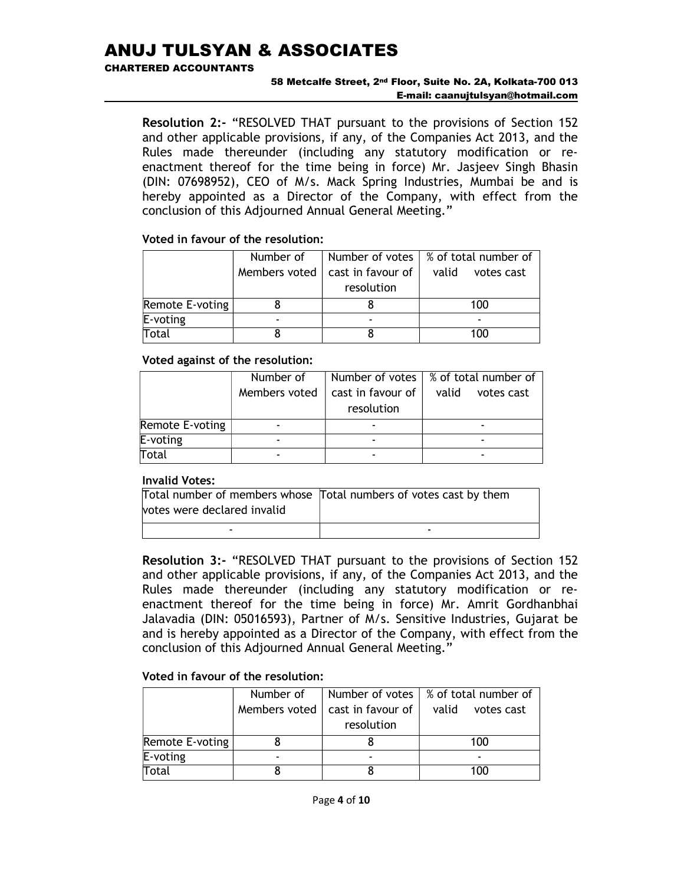#### CHARTERED ACCOUNTANTS

#### 58 Metcalfe Street, 2nd Floor, Suite No. 2A, Kolkata-700 013 E-mail: caanujtulsyan@hotmail.com

Resolution 2:- "RESOLVED THAT pursuant to the provisions of Section 152 and other applicable provisions, if any, of the Companies Act 2013, and the Rules made thereunder (including any statutory modification or reenactment thereof for the time being in force) Mr. Jasjeev Singh Bhasin (DIN: 07698952), CEO of M/s. Mack Spring Industries, Mumbai be and is hereby appointed as a Director of the Company, with effect from the conclusion of this Adjourned Annual General Meeting."

## Voted in favour of the resolution:

|                 | Number of     |                           | Number of votes $\frac{1}{2}$ of total number of |
|-----------------|---------------|---------------------------|--------------------------------------------------|
|                 | Members voted | cast in favour of $\vert$ | valid<br>votes cast                              |
|                 |               | resolution                |                                                  |
| Remote E-voting |               |                           | 100                                              |
| $E$ -voting     |               |                           |                                                  |
| Total           |               |                           | 100                                              |

## Voted against of the resolution:

|                 | Number of     |                          | Number of votes $\frac{1}{2}$ % of total number of |
|-----------------|---------------|--------------------------|----------------------------------------------------|
|                 | Members voted | cast in favour of        | valid<br>votes cast                                |
|                 |               | resolution               |                                                    |
| Remote E-voting |               |                          |                                                    |
| $E$ -voting     |               |                          |                                                    |
| Total           |               | $\overline{\phantom{0}}$ | -                                                  |

# Invalid Votes:

|                             | Total number of members whose Total numbers of votes cast by them |
|-----------------------------|-------------------------------------------------------------------|
| votes were declared invalid |                                                                   |
|                             |                                                                   |

Resolution 3:- "RESOLVED THAT pursuant to the provisions of Section 152 and other applicable provisions, if any, of the Companies Act 2013, and the Rules made thereunder (including any statutory modification or reenactment thereof for the time being in force) Mr. Amrit Gordhanbhai Jalavadia (DIN: 05016593), Partner of M/s. Sensitive Industries, Gujarat be and is hereby appointed as a Director of the Company, with effect from the conclusion of this Adjourned Annual General Meeting."

# Voted in favour of the resolution:

|                 | Number of     |                       | Number of votes   % of total number of |
|-----------------|---------------|-----------------------|----------------------------------------|
|                 | Members voted | cast in favour of $ $ | valid<br>votes cast                    |
|                 |               | resolution            |                                        |
| Remote E-voting |               |                       | 100                                    |
| E-voting        |               |                       |                                        |
| Total           |               |                       | 100                                    |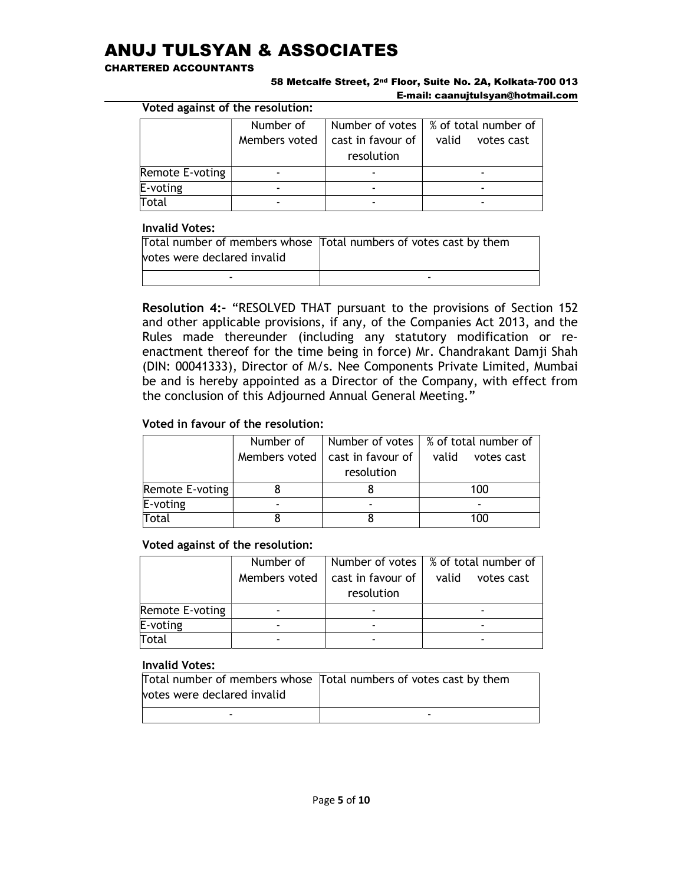#### CHARTERED ACCOUNTANTS

#### 58 Metcalfe Street, 2nd Floor, Suite No. 2A, Kolkata-700 013 E-mail: caanujtulsyan@hotmail.com

Voted against of the resolution:

|                 | Number of     |                   | Number of votes   % of total number of |
|-----------------|---------------|-------------------|----------------------------------------|
|                 | Members voted | cast in favour of | valid<br>votes cast                    |
|                 |               | resolution        |                                        |
| Remote E-voting |               |                   |                                        |
| E-voting        |               |                   |                                        |
| <b>Total</b>    |               |                   |                                        |

#### Invalid Votes:

| votes were declared invalid | Total number of members whose Total numbers of votes cast by them |
|-----------------------------|-------------------------------------------------------------------|
|                             | -                                                                 |

Resolution 4:- "RESOLVED THAT pursuant to the provisions of Section 152 and other applicable provisions, if any, of the Companies Act 2013, and the Rules made thereunder (including any statutory modification or reenactment thereof for the time being in force) Mr. Chandrakant Damji Shah (DIN: 00041333), Director of M/s. Nee Components Private Limited, Mumbai be and is hereby appointed as a Director of the Company, with effect from the conclusion of this Adjourned Annual General Meeting."

## Voted in favour of the resolution:

|                 | Number of                |                   | Number of votes $\frac{1}{2}$ % of total number of |
|-----------------|--------------------------|-------------------|----------------------------------------------------|
|                 | Members voted            | cast in favour of | valid<br>votes cast                                |
|                 |                          | resolution        |                                                    |
| Remote E-voting |                          |                   | 100                                                |
| E-voting        | $\overline{\phantom{0}}$ |                   |                                                    |
| Total           |                          |                   | 100                                                |

### Voted against of the resolution:

|                 | Number of     |                   | Number of votes   % of total number of |
|-----------------|---------------|-------------------|----------------------------------------|
|                 | Members voted | cast in favour of | valid<br>votes cast                    |
|                 |               | resolution        |                                        |
| Remote E-voting |               |                   |                                        |
| E-voting        |               |                   |                                        |
| Total           |               |                   |                                        |

|                             | Total number of members whose Total numbers of votes cast by them |
|-----------------------------|-------------------------------------------------------------------|
| votes were declared invalid |                                                                   |
| -                           | -                                                                 |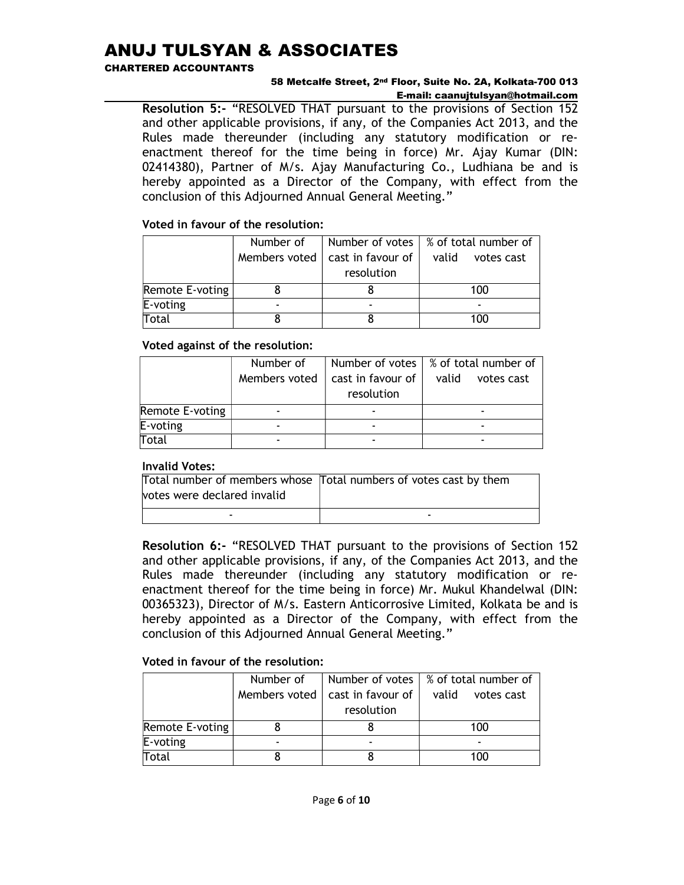#### CHARTERED ACCOUNTANTS

#### 58 Metcalfe Street, 2nd Floor, Suite No. 2A, Kolkata-700 013 E-mail: caanujtulsyan@hotmail.com

Resolution 5:- "RESOLVED THAT pursuant to the provisions of Section 152 and other applicable provisions, if any, of the Companies Act 2013, and the Rules made thereunder (including any statutory modification or reenactment thereof for the time being in force) Mr. Ajay Kumar (DIN: 02414380), Partner of M/s. Ajay Manufacturing Co., Ludhiana be and is hereby appointed as a Director of the Company, with effect from the conclusion of this Adjourned Annual General Meeting."

## Voted in favour of the resolution:

|                 | Number of     | Number of votes       | % of total number of |
|-----------------|---------------|-----------------------|----------------------|
|                 | Members voted | cast in favour of $ $ | valid<br>votes cast  |
|                 |               | resolution            |                      |
| Remote E-voting |               |                       | 100                  |
| E-voting        |               |                       |                      |
| Total           |               |                       | 100                  |

## Voted against of the resolution:

|                 | Number of     |                   | Number of votes $\frac{1}{2}$ % of total number of |
|-----------------|---------------|-------------------|----------------------------------------------------|
|                 | Members voted | cast in favour of | valid<br>votes cast                                |
|                 |               | resolution        |                                                    |
| Remote E-voting |               |                   |                                                    |
| E-voting        |               |                   |                                                    |
| <b>Total</b>    |               |                   |                                                    |

### Invalid Votes:

|                             | Total number of members whose Total numbers of votes cast by them |
|-----------------------------|-------------------------------------------------------------------|
| votes were declared invalid |                                                                   |
| -                           | -                                                                 |

Resolution 6:- "RESOLVED THAT pursuant to the provisions of Section 152 and other applicable provisions, if any, of the Companies Act 2013, and the Rules made thereunder (including any statutory modification or reenactment thereof for the time being in force) Mr. Mukul Khandelwal (DIN: 00365323), Director of M/s. Eastern Anticorrosive Limited, Kolkata be and is hereby appointed as a Director of the Company, with effect from the conclusion of this Adjourned Annual General Meeting."

# Voted in favour of the resolution:

|                 | Number of     |                   | Number of votes $\frac{1}{2}$ % of total number of |
|-----------------|---------------|-------------------|----------------------------------------------------|
|                 | Members voted | cast in favour of | valid<br>votes cast                                |
|                 |               | resolution        |                                                    |
| Remote E-voting |               |                   | 100                                                |
| $E$ -voting     |               |                   |                                                    |
| Total           |               |                   | 100                                                |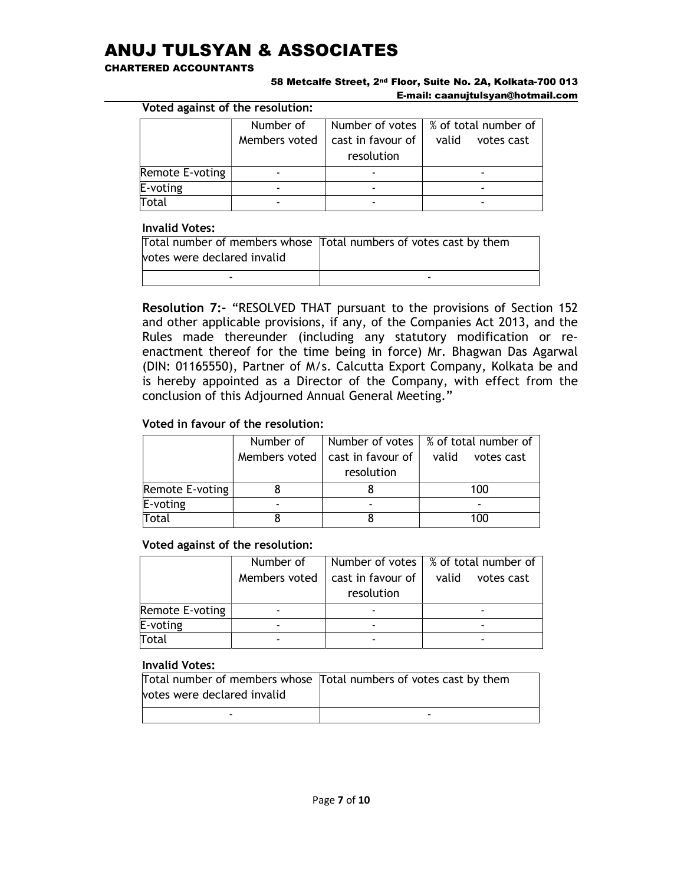#### CHARTERED ACCOUNTANTS

#### 58 Metcalfe Street, 2nd Floor, Suite No. 2A, Kolkata-700 013 E-mail: caanujtulsyan@hotmail.com

Voted against of the resolution:

|                 | Number of     |                   | Number of votes $\frac{1}{2}$ % of total number of |
|-----------------|---------------|-------------------|----------------------------------------------------|
|                 | Members voted | cast in favour of | valid<br>votes cast                                |
|                 |               | resolution        |                                                    |
| Remote E-voting |               |                   |                                                    |
| $E$ -voting     |               |                   |                                                    |
| Total           |               |                   |                                                    |

#### Invalid Votes:

|                             | Total number of members whose Total numbers of votes cast by them |
|-----------------------------|-------------------------------------------------------------------|
| votes were declared invalid |                                                                   |
| -                           | -                                                                 |

Resolution 7:- "RESOLVED THAT pursuant to the provisions of Section 152 and other applicable provisions, if any, of the Companies Act 2013, and the Rules made thereunder (including any statutory modification or reenactment thereof for the time being in force) Mr. Bhagwan Das Agarwal (DIN: 01165550), Partner of M/s. Calcutta Export Company, Kolkata be and is hereby appointed as a Director of the Company, with effect from the conclusion of this Adjourned Annual General Meeting."

## Voted in favour of the resolution:

|                 | Number of                |                   | Number of votes $\frac{1}{2}$ % of total number of |
|-----------------|--------------------------|-------------------|----------------------------------------------------|
|                 | Members voted            | cast in favour of | valid<br>votes cast                                |
|                 |                          | resolution        |                                                    |
| Remote E-voting |                          |                   | 100                                                |
| E-voting        | $\overline{\phantom{0}}$ |                   |                                                    |
| Total           |                          |                   | 100                                                |

### Voted against of the resolution:

|                 | Number of     |                   | Number of votes   % of total number of |
|-----------------|---------------|-------------------|----------------------------------------|
|                 | Members voted | cast in favour of | valid<br>votes cast                    |
|                 |               | resolution        |                                        |
| Remote E-voting |               |                   |                                        |
| E-voting        |               |                   |                                        |
| Total           |               |                   |                                        |

|                             | Total number of members whose Total numbers of votes cast by them |
|-----------------------------|-------------------------------------------------------------------|
| votes were declared invalid |                                                                   |
| -                           | -                                                                 |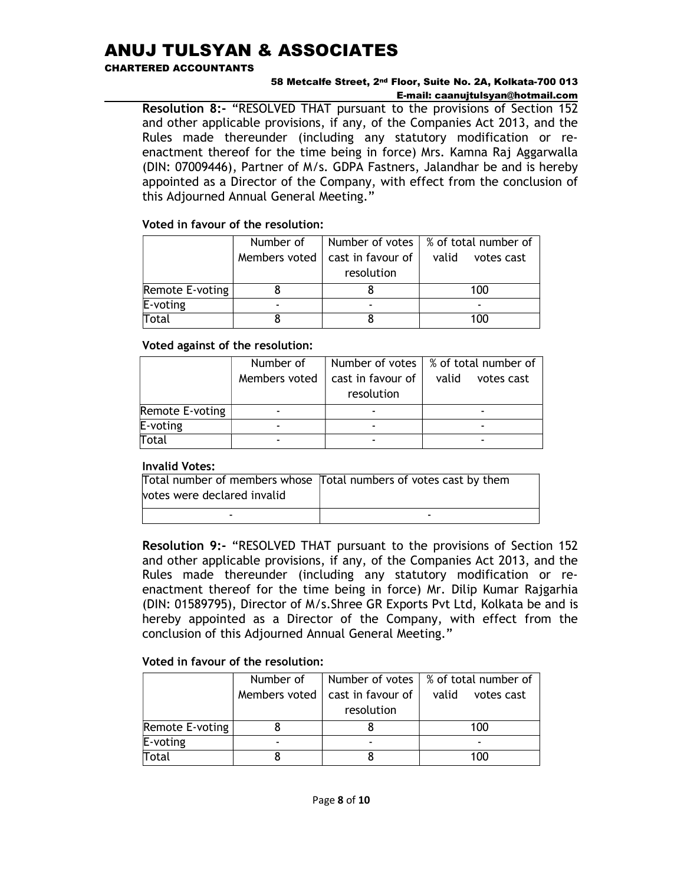#### CHARTERED ACCOUNTANTS

#### 58 Metcalfe Street, 2nd Floor, Suite No. 2A, Kolkata-700 013 E-mail: caanujtulsyan@hotmail.com

Resolution 8:- "RESOLVED THAT pursuant to the provisions of Section 152 and other applicable provisions, if any, of the Companies Act 2013, and the Rules made thereunder (including any statutory modification or reenactment thereof for the time being in force) Mrs. Kamna Raj Aggarwalla (DIN: 07009446), Partner of M/s. GDPA Fastners, Jalandhar be and is hereby appointed as a Director of the Company, with effect from the conclusion of this Adjourned Annual General Meeting."

## Voted in favour of the resolution:

|                 | Number of     | Number of votes       | ∣% of total number of |
|-----------------|---------------|-----------------------|-----------------------|
|                 | Members voted | cast in favour of $ $ | valid<br>votes cast   |
|                 |               | resolution            |                       |
| Remote E-voting |               |                       | 100                   |
| E-voting        |               |                       |                       |
| Total           |               |                       | 100                   |

## Voted against of the resolution:

|                 | Number of     |                   | Number of votes $\frac{1}{2}$ % of total number of |
|-----------------|---------------|-------------------|----------------------------------------------------|
|                 | Members voted | cast in favour of | valid<br>votes cast                                |
|                 |               | resolution        |                                                    |
| Remote E-voting |               |                   |                                                    |
| $E$ -voting     |               |                   |                                                    |
| Total           |               |                   |                                                    |

### Invalid Votes:

|                             | Total number of members whose Total numbers of votes cast by them |
|-----------------------------|-------------------------------------------------------------------|
| votes were declared invalid |                                                                   |
| -                           | -                                                                 |

Resolution 9:- "RESOLVED THAT pursuant to the provisions of Section 152 and other applicable provisions, if any, of the Companies Act 2013, and the Rules made thereunder (including any statutory modification or reenactment thereof for the time being in force) Mr. Dilip Kumar Rajgarhia (DIN: 01589795), Director of M/s.Shree GR Exports Pvt Ltd, Kolkata be and is hereby appointed as a Director of the Company, with effect from the conclusion of this Adjourned Annual General Meeting."

# Voted in favour of the resolution:

|                 | Number of     |                   | Number of votes $\frac{1}{2}$ % of total number of |
|-----------------|---------------|-------------------|----------------------------------------------------|
|                 | Members voted | cast in favour of | valid<br>votes cast                                |
|                 |               | resolution        |                                                    |
| Remote E-voting |               |                   | 100                                                |
| $E$ -voting     |               |                   |                                                    |
| Total           |               |                   | 100                                                |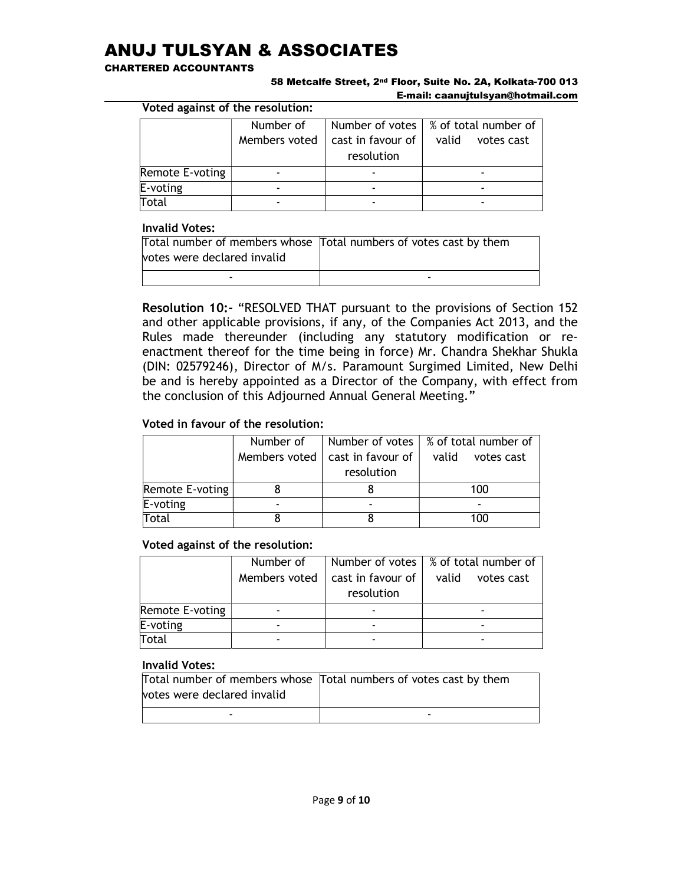#### CHARTERED ACCOUNTANTS

#### 58 Metcalfe Street, 2nd Floor, Suite No. 2A, Kolkata-700 013 E-mail: caanujtulsyan@hotmail.com

Voted against of the resolution:

|                 | Number of     |                                 | Number of votes   % of total number of |
|-----------------|---------------|---------------------------------|----------------------------------------|
|                 |               |                                 |                                        |
|                 | Members voted | cast in favour of<br>resolution | valid<br>votes cast                    |
| Remote E-voting |               |                                 |                                        |
| E-voting        |               |                                 |                                        |
| <b>Total</b>    |               |                                 |                                        |

#### Invalid Votes:

|                             | Total number of members whose Total numbers of votes cast by them |
|-----------------------------|-------------------------------------------------------------------|
| votes were declared invalid |                                                                   |
|                             | -                                                                 |

Resolution 10:- "RESOLVED THAT pursuant to the provisions of Section 152 and other applicable provisions, if any, of the Companies Act 2013, and the Rules made thereunder (including any statutory modification or reenactment thereof for the time being in force) Mr. Chandra Shekhar Shukla (DIN: 02579246), Director of M/s. Paramount Surgimed Limited, New Delhi be and is hereby appointed as a Director of the Company, with effect from the conclusion of this Adjourned Annual General Meeting."

## Voted in favour of the resolution:

|                 | Number of                |                   | Number of votes $\frac{1}{2}$ % of total number of |
|-----------------|--------------------------|-------------------|----------------------------------------------------|
|                 | Members voted            | cast in favour of | valid<br>votes cast                                |
|                 |                          | resolution        |                                                    |
| Remote E-voting |                          |                   | 100                                                |
| E-voting        | $\overline{\phantom{0}}$ |                   |                                                    |
| Total           |                          |                   | 100                                                |

### Voted against of the resolution:

|                 | Number of     |                   | Number of votes   % of total number of |
|-----------------|---------------|-------------------|----------------------------------------|
|                 | Members voted | cast in favour of | valid<br>votes cast                    |
|                 |               | resolution        |                                        |
| Remote E-voting |               |                   |                                        |
| E-voting        |               |                   |                                        |
| Total           |               |                   |                                        |

|                             | Total number of members whose Total numbers of votes cast by them |
|-----------------------------|-------------------------------------------------------------------|
| votes were declared invalid |                                                                   |
| -                           | -                                                                 |